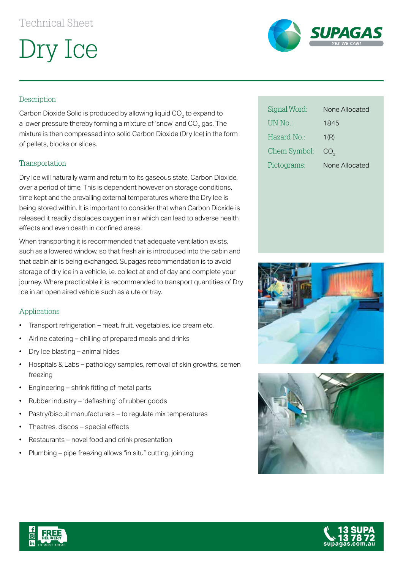Dry Ice



## Description

Carbon Dioxide Solid is produced by allowing liquid  $CO<sub>2</sub>$  to expand to a lower pressure thereby forming a mixture of 'snow' and  $CO<sub>2</sub>$  gas. The mixture is then compressed into solid Carbon Dioxide (Dry Ice) in the form of pellets, blocks or slices.

#### Transportation

Dry Ice will naturally warm and return to its gaseous state, Carbon Dioxide, over a period of time. This is dependent however on storage conditions, time kept and the prevailing external temperatures where the Dry Ice is being stored within. It is important to consider that when Carbon Dioxide is released it readily displaces oxygen in air which can lead to adverse health effects and even death in confined areas.

When transporting it is recommended that adequate ventilation exists, such as a lowered window, so that fresh air is introduced into the cabin and that cabin air is being exchanged. Supagas recommendation is to avoid storage of dry ice in a vehicle, i.e. collect at end of day and complete your journey. Where practicable it is recommended to transport quantities of Dry Ice in an open aired vehicle such as a ute or tray.

#### Applications

- Transport refrigeration meat, fruit, vegetables, ice cream etc.
- Airline catering chilling of prepared meals and drinks
- Dry Ice blasting animal hides
- Hospitals & Labs pathology samples, removal of skin growths, semen freezing
- Engineering shrink fitting of metal parts
- Rubber industry 'deflashing' of rubber goods
- Pastry/biscuit manufacturers to regulate mix temperatures
- Theatres, discos special effects
- Restaurants novel food and drink presentation
- Plumbing pipe freezing allows "in situ" cutting, jointing

| Signal Word: | None Allocated  |
|--------------|-----------------|
| UN No.:      | 1845            |
| Hazard No ·  | 1(R)            |
| Chem Symbol: | CO <sub>2</sub> |
| Pictograms:  | None Allocated  |